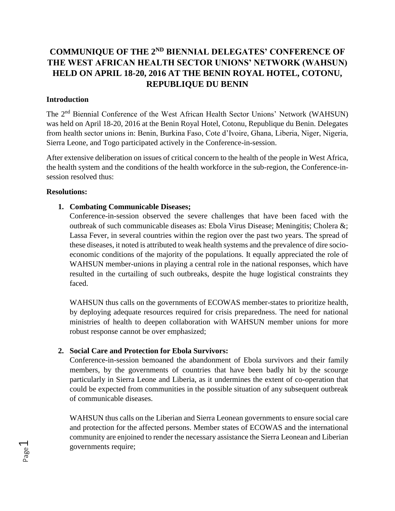# **COMMUNIQUE OF THE 2ND BIENNIAL DELEGATES' CONFERENCE OF THE WEST AFRICAN HEALTH SECTOR UNIONS' NETWORK (WAHSUN) HELD ON APRIL 18-20, 2016 AT THE BENIN ROYAL HOTEL, COTONU, REPUBLIQUE DU BENIN**

### **Introduction**

The 2nd Biennial Conference of the West African Health Sector Unions' Network (WAHSUN) was held on April 18-20, 2016 at the Benin Royal Hotel, Cotonu, Republique du Benin. Delegates from health sector unions in: Benin, Burkina Faso, Cote d'Ivoire, Ghana, Liberia, Niger, Nigeria, Sierra Leone, and Togo participated actively in the Conference-in-session.

After extensive deliberation on issues of critical concern to the health of the people in West Africa, the health system and the conditions of the health workforce in the sub-region, the Conference-insession resolved thus:

### **Resolutions:**

Page  $\overline{\phantom{0}}$ 

## **1. Combating Communicable Diseases;**

Conference-in-session observed the severe challenges that have been faced with the outbreak of such communicable diseases as: Ebola Virus Disease; Meningitis; Cholera &; Lassa Fever, in several countries within the region over the past two years. The spread of these diseases, it noted is attributed to weak health systems and the prevalence of dire socioeconomic conditions of the majority of the populations. It equally appreciated the role of WAHSUN member-unions in playing a central role in the national responses, which have resulted in the curtailing of such outbreaks, despite the huge logistical constraints they faced.

WAHSUN thus calls on the governments of ECOWAS member-states to prioritize health, by deploying adequate resources required for crisis preparedness. The need for national ministries of health to deepen collaboration with WAHSUN member unions for more robust response cannot be over emphasized;

## **2. Social Care and Protection for Ebola Survivors:**

Conference-in-session bemoaned the abandonment of Ebola survivors and their family members, by the governments of countries that have been badly hit by the scourge particularly in Sierra Leone and Liberia, as it undermines the extent of co-operation that could be expected from communities in the possible situation of any subsequent outbreak of communicable diseases.

WAHSUN thus calls on the Liberian and Sierra Leonean governments to ensure social care and protection for the affected persons. Member states of ECOWAS and the international community are enjoined to render the necessary assistance the Sierra Leonean and Liberian governments require;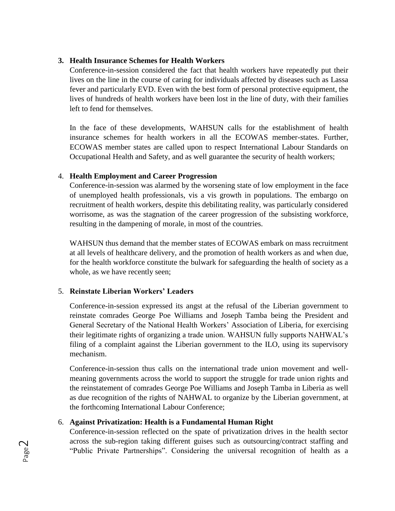## **3. Health Insurance Schemes for Health Workers**

Conference-in-session considered the fact that health workers have repeatedly put their lives on the line in the course of caring for individuals affected by diseases such as Lassa fever and particularly EVD. Even with the best form of personal protective equipment, the lives of hundreds of health workers have been lost in the line of duty, with their families left to fend for themselves.

In the face of these developments, WAHSUN calls for the establishment of health insurance schemes for health workers in all the ECOWAS member-states. Further, ECOWAS member states are called upon to respect International Labour Standards on Occupational Health and Safety, and as well guarantee the security of health workers;

## 4. **Health Employment and Career Progression**

Conference-in-session was alarmed by the worsening state of low employment in the face of unemployed health professionals, vis a vis growth in populations. The embargo on recruitment of health workers, despite this debilitating reality, was particularly considered worrisome, as was the stagnation of the career progression of the subsisting workforce, resulting in the dampening of morale, in most of the countries.

WAHSUN thus demand that the member states of ECOWAS embark on mass recruitment at all levels of healthcare delivery, and the promotion of health workers as and when due, for the health workforce constitute the bulwark for safeguarding the health of society as a whole, as we have recently seen;

# 5. **Reinstate Liberian Workers' Leaders**

Conference-in-session expressed its angst at the refusal of the Liberian government to reinstate comrades George Poe Williams and Joseph Tamba being the President and General Secretary of the National Health Workers' Association of Liberia, for exercising their legitimate rights of organizing a trade union. WAHSUN fully supports NAHWAL's filing of a complaint against the Liberian government to the ILO, using its supervisory mechanism.

Conference-in-session thus calls on the international trade union movement and wellmeaning governments across the world to support the struggle for trade union rights and the reinstatement of comrades George Poe Williams and Joseph Tamba in Liberia as well as due recognition of the rights of NAHWAL to organize by the Liberian government, at the forthcoming International Labour Conference;

# 6. **Against Privatization: Health is a Fundamental Human Right**

Conference-in-session reflected on the spate of privatization drives in the health sector across the sub-region taking different guises such as outsourcing/contract staffing and "Public Private Partnerships". Considering the universal recognition of health as a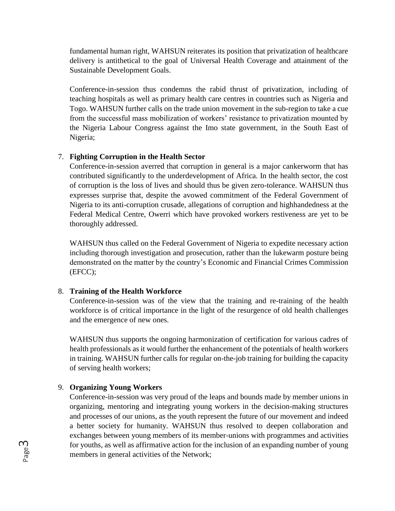fundamental human right, WAHSUN reiterates its position that privatization of healthcare delivery is antithetical to the goal of Universal Health Coverage and attainment of the Sustainable Development Goals.

Conference-in-session thus condemns the rabid thrust of privatization, including of teaching hospitals as well as primary health care centres in countries such as Nigeria and Togo. WAHSUN further calls on the trade union movement in the sub-region to take a cue from the successful mass mobilization of workers' resistance to privatization mounted by the Nigeria Labour Congress against the Imo state government, in the South East of Nigeria;

## 7. **Fighting Corruption in the Health Sector**

Conference-in-session averred that corruption in general is a major cankerworm that has contributed significantly to the underdevelopment of Africa. In the health sector, the cost of corruption is the loss of lives and should thus be given zero-tolerance. WAHSUN thus expresses surprise that, despite the avowed commitment of the Federal Government of Nigeria to its anti-corruption crusade, allegations of corruption and highhandedness at the Federal Medical Centre, Owerri which have provoked workers restiveness are yet to be thoroughly addressed.

WAHSUN thus called on the Federal Government of Nigeria to expedite necessary action including thorough investigation and prosecution, rather than the lukewarm posture being demonstrated on the matter by the country's Economic and Financial Crimes Commission (EFCC);

## 8. **Training of the Health Workforce**

Conference-in-session was of the view that the training and re-training of the health workforce is of critical importance in the light of the resurgence of old health challenges and the emergence of new ones.

WAHSUN thus supports the ongoing harmonization of certification for various cadres of health professionals as it would further the enhancement of the potentials of health workers in training. WAHSUN further calls for regular on-the-job training for building the capacity of serving health workers;

## 9. **Organizing Young Workers**

Conference-in-session was very proud of the leaps and bounds made by member unions in organizing, mentoring and integrating young workers in the decision-making structures and processes of our unions, as the youth represent the future of our movement and indeed a better society for humanity. WAHSUN thus resolved to deepen collaboration and exchanges between young members of its member-unions with programmes and activities for youths, as well as affirmative action for the inclusion of an expanding number of young members in general activities of the Network;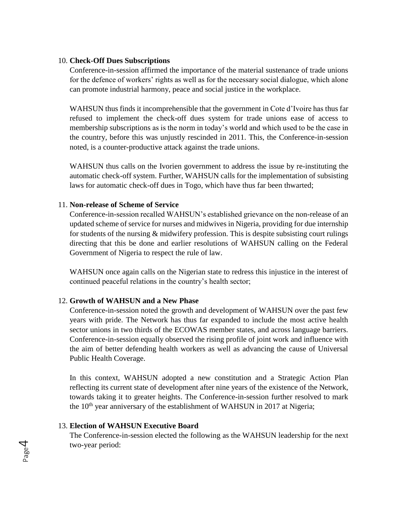#### 10. **Check-Off Dues Subscriptions**

Conference-in-session affirmed the importance of the material sustenance of trade unions for the defence of workers' rights as well as for the necessary social dialogue, which alone can promote industrial harmony, peace and social justice in the workplace.

WAHSUN thus finds it incomprehensible that the government in Cote d'Ivoire has thus far refused to implement the check-off dues system for trade unions ease of access to membership subscriptions as is the norm in today's world and which used to be the case in the country, before this was unjustly rescinded in 2011. This, the Conference-in-session noted, is a counter-productive attack against the trade unions.

WAHSUN thus calls on the Ivorien government to address the issue by re-instituting the automatic check-off system. Further, WAHSUN calls for the implementation of subsisting laws for automatic check-off dues in Togo, which have thus far been thwarted;

#### 11. **Non-release of Scheme of Service**

Conference-in-session recalled WAHSUN's established grievance on the non-release of an updated scheme of service for nurses and midwives in Nigeria, providing for due internship for students of the nursing & midwifery profession. This is despite subsisting court rulings directing that this be done and earlier resolutions of WAHSUN calling on the Federal Government of Nigeria to respect the rule of law.

WAHSUN once again calls on the Nigerian state to redress this injustice in the interest of continued peaceful relations in the country's health sector;

#### 12. **Growth of WAHSUN and a New Phase**

Conference-in-session noted the growth and development of WAHSUN over the past few years with pride. The Network has thus far expanded to include the most active health sector unions in two thirds of the ECOWAS member states, and across language barriers. Conference-in-session equally observed the rising profile of joint work and influence with the aim of better defending health workers as well as advancing the cause of Universal Public Health Coverage.

In this context, WAHSUN adopted a new constitution and a Strategic Action Plan reflecting its current state of development after nine years of the existence of the Network, towards taking it to greater heights. The Conference-in-session further resolved to mark the  $10<sup>th</sup>$  year anniversary of the establishment of WAHSUN in 2017 at Nigeria;

### 13. **Election of WAHSUN Executive Board**

The Conference-in-session elected the following as the WAHSUN leadership for the next two-year period: